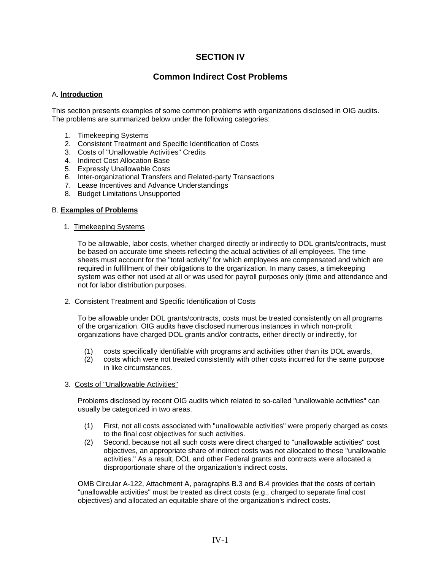# **SECTION IV**

# **Common Indirect Cost Problems**

## A. **lntroduction**

This section presents examples of some common problems with organizations disclosed in OIG audits. The problems are summarized below under the following categories:

- 1. Timekeeping Systems
- 2. Consistent Treatment and Specific Identification of Costs
- 3. Costs of "Unallowable Activities" Credits
- 4. Indirect Cost Allocation Base
- 5. Expressly Unallowable Costs
- 6. Inter-organizational Transfers and Related-party Transactions
- 7. Lease Incentives and Advance Understandings
- 8. Budget Limitations Unsupported

## B. **Examples of Problems**

## 1. Timekeeping Systems

To be allowable, labor costs, whether charged directly or indirectly to DOL grants/contracts, must be based on accurate time sheets reflecting the actual activities of all employees. The time sheets must account for the "total activity" for which employees are compensated and which are required in fulfillment of their obligations to the organization. In many cases, a timekeeping system was either not used at all or was used for payroll purposes only (time and attendance and not for labor distribution purposes.

# 2. Consistent Treatment and Specific Identification of Costs

To be allowable under DOL grants/contracts, costs must be treated consistently on all programs of the organization. OIG audits have disclosed numerous instances in which non-profit organizations have charged DOL grants and/or contracts, either directly or indirectly, for

- (1) costs specifically identifiable with programs and activities other than its DOL awards,
- (2) costs which were not treated consistently with other costs incurred for the same purpose in like circumstances.

### 3. Costs of "Unallowable Activities"

Problems disclosed by recent OIG audits which related to so-called "unallowable activities" can usually be categorized in two areas.

- (1) First, not all costs associated with "unallowable activities" were properly charged as costs to the final cost objectives for such activities.
- (2) Second, because not all such costs were direct charged to "unallowable activities" cost objectives, an appropriate share of indirect costs was not allocated to these "unallowable activities." As a result, DOL and other Federal grants and contracts were allocated a disproportionate share of the organization's indirect costs.

OMB Circular A-122, Attachment A, paragraphs B.3 and B.4 provides that the costs of certain "unallowable activities" must be treated as direct costs (e.g., charged to separate final cost objectives) and allocated an equitable share of the organization's indirect costs.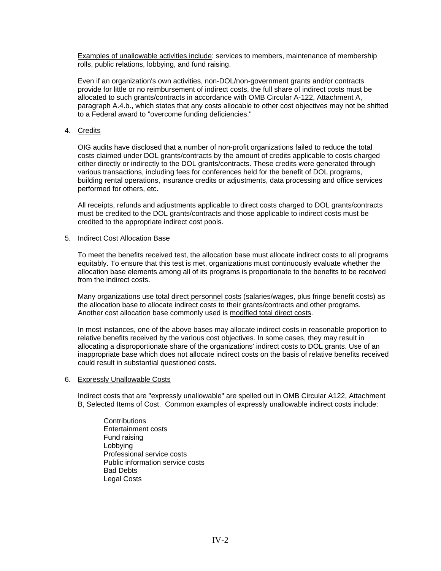Examples of unallowable activities include: services to members, maintenance of membership rolls, public relations, lobbying, and fund raising.

Even if an organization's own activities, non-DOL/non-government grants and/or contracts provide for little or no reimbursement of indirect costs, the full share of indirect costs must be allocated to such grants/contracts in accordance with OMB Circular A-122, Attachment A, paragraph A.4.b., which states that any costs allocable to other cost objectives may not be shifted to a Federal award to "overcome funding deficiencies."

# 4. Credits

OIG audits have disclosed that a number of non-profit organizations failed to reduce the total costs claimed under DOL grants/contracts by the amount of credits applicable to costs charged either directly or indirectly to the DOL grants/contracts. These credits were generated through various transactions, including fees for conferences held for the benefit of DOL programs, building rental operations, insurance credits or adjustments, data processing and office services performed for others, etc.

All receipts, refunds and adjustments applicable to direct costs charged to DOL grants/contracts must be credited to the DOL grants/contracts and those applicable to indirect costs must be credited to the appropriate indirect cost pools.

### 5. Indirect Cost Allocation Base

To meet the benefits received test, the allocation base must allocate indirect costs to all programs equitably. To ensure that this test is met, organizations must continuously evaluate whether the allocation base elements among all of its programs is proportionate to the benefits to be received from the indirect costs.

Many organizations use total direct personnel costs (salaries/wages, plus fringe benefit costs) as the allocation base to allocate indirect costs to their grants/contracts and other programs. Another cost allocation base commonly used is modified total direct costs.

In most instances, one of the above bases may allocate indirect costs in reasonable proportion to relative benefits received by the various cost objectives. In some cases, they may result in allocating a disproportionate share of the organizations' indirect costs to DOL grants. Use of an inappropriate base which does not allocate indirect costs on the basis of relative benefits received could result in substantial questioned costs.

### 6. Expressly Unallowable Costs

Indirect costs that are "expressly unallowable" are spelled out in OMB Circular A122, Attachment B, Selected Items of Cost. Common examples of expressly unallowable indirect costs include:

**Contributions** Entertainment costs Fund raising Lobbying Professional service costs Public information service costs Bad Debts Legal Costs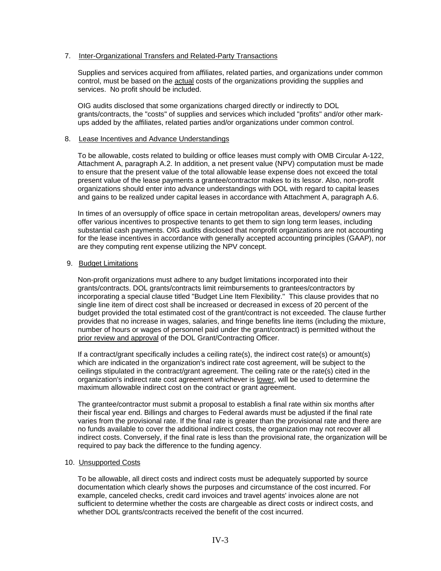# 7. Inter-Organizational Transfers and Related-Party Transactions

Supplies and services acquired from affiliates, related parties, and organizations under common control, must be based on the actual costs of the organizations providing the supplies and services. No profit should be included.

OIG audits disclosed that some organizations charged directly or indirectly to DOL grants/contracts, the "costs" of supplies and services which included "profits" and/or other markups added by the affiliates, related parties and/or organizations under common control.

## 8. Lease Incentives and Advance Understandings

To be allowable, costs related to building or office leases must comply with OMB Circular A-122, Attachment A, paragraph A.2. In addition, a net present value (NPV) computation must be made to ensure that the present value of the total allowable lease expense does not exceed the total present value of the lease payments a grantee/contractor makes to its lessor. Also, non-profit organizations should enter into advance understandings with DOL with regard to capital leases and gains to be realized under capital leases in accordance with Attachment A, paragraph A.6.

In times of an oversupply of office space in certain metropolitan areas, developers/ owners may offer various incentives to prospective tenants to get them to sign long term leases, including substantial cash payments. OIG audits disclosed that nonprofit organizations are not accounting for the lease incentives in accordance with generally accepted accounting principles (GAAP), nor are they computing rent expense utilizing the NPV concept.

## 9. Budget Limitations

Non-profit organizations must adhere to any budget limitations incorporated into their grants/contracts. DOL grants/contracts limit reimbursements to grantees/contractors by incorporating a special clause titled "Budget Line Item Flexibility." This clause provides that no single line item of direct cost shall be increased or decreased in excess of 20 percent of the budget provided the total estimated cost of the grant/contract is not exceeded. The clause further provides that no increase in wages, salaries, and fringe benefits line items (including the mixture, number of hours or wages of personnel paid under the grant/contract) is permitted without the prior review and approval of the DOL Grant/Contracting Officer.

If a contract/grant specifically includes a ceiling rate(s), the indirect cost rate(s) or amount(s) which are indicated in the organization's indirect rate cost agreement, will be subject to the ceilings stipulated in the contract/grant agreement. The ceiling rate or the rate(s) cited in the organization's indirect rate cost agreement whichever is lower, will be used to determine the maximum allowable indirect cost on the contract or grant agreement.

The grantee/contractor must submit a proposal to establish a final rate within six months after their fiscal year end. Billings and charges to Federal awards must be adjusted if the final rate varies from the provisional rate. If the final rate is greater than the provisional rate and there are no funds available to cover the additional indirect costs, the organization may not recover all indirect costs. Conversely, if the final rate is less than the provisional rate, the organization will be required to pay back the difference to the funding agency.

### 10. Unsupported Costs

To be allowable, all direct costs and indirect costs must be adequately supported by source documentation which clearly shows the purposes and circumstance of the cost incurred. For example, canceled checks, credit card invoices and travel agents' invoices alone are not sufficient to determine whether the costs are chargeable as direct costs or indirect costs, and whether DOL grants/contracts received the benefit of the cost incurred.